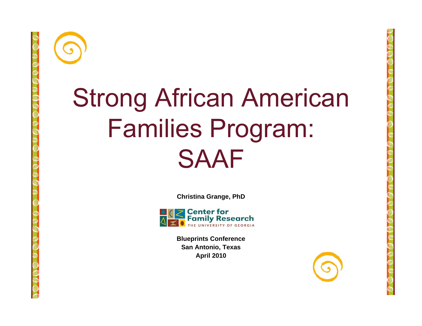

#### Strong African American Families Pro gram: SAAF

**Christina Grange, PhD**



**Blueprints Conference San Antonio, Texas April 2010**

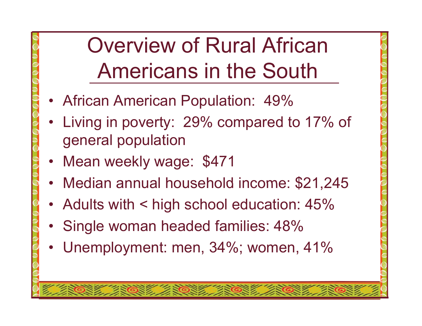### Overview of Rural African Americans in the South

- African American Population: 49%
- • Living in poverty: 29% compared to 17% of general population
- •Mean weekly wage: \$471
- •Median annual household income: \$21,245
- Adults with < high school education: 45%
- Single woman headed families: 48%
- Unemployment: men, 34%; women, 41%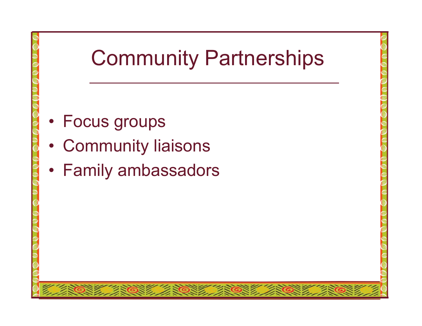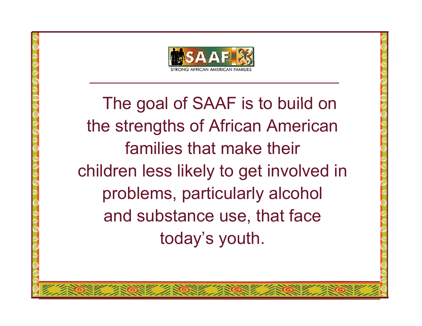

The goal of SAAF is to build on the strengths of African American families that make their children less likely to get involved in problems, particularly alcohol and substance use, that face today's youth.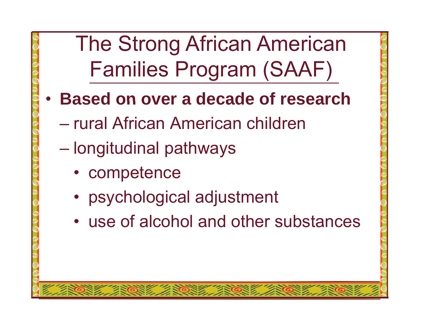The Strong African American Families Program (SAAF)

- **Based on over a decade of research of**
	- rural African American children
	- $\mathcal{L}_{\mathcal{A}}$  , and the set of the set of the set of the set of the set of the set of the set of the set of the set of the set of the set of the set of the set of the set of the set of the set of the set of the set of th – longitudinal pathways
		- competence
		- psychological adjustment
		- use of alcohol and other substances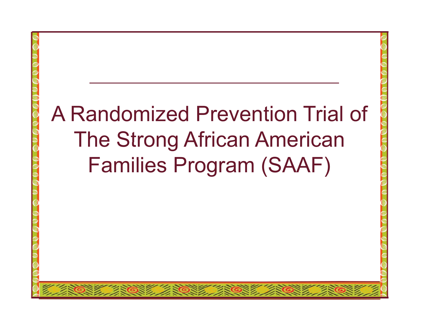# A Randomized Prevention Trial of The Strong African American Families Program (SAAF)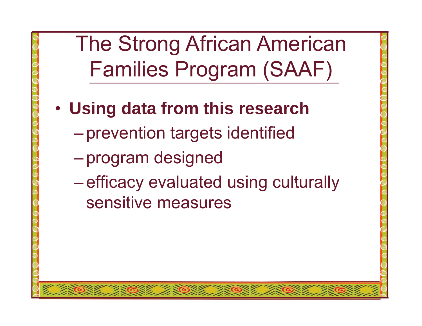The Strong African American Families Program (SAAF)

- • **Using data from this research**
	- $\mathcal{L}_{\mathcal{A}}$  , and the set of the set of the set of the set of the set of the set of the set of the set of the set of the set of the set of the set of the set of the set of the set of the set of the set of the set of th prevention tar gets identified
	- $\mathcal{L}_{\mathcal{A}}$  , and the set of the set of the set of the set of the set of the set of the set of the set of the set of the set of the set of the set of the set of the set of the set of the set of the set of the set of th program designed
	- $\mathcal{L}_{\mathcal{A}}$  , and the set of the set of the set of the set of the set of the set of the set of the set of the set of the set of the set of the set of the set of the set of the set of the set of the set of the set of th –efficacy evaluated using culturally sensitive measures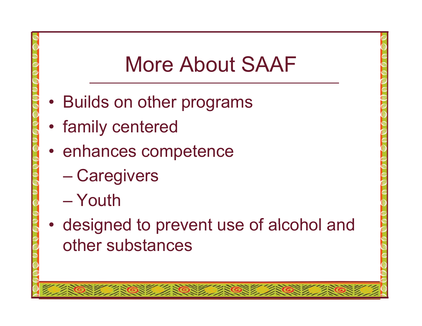#### More About SAAF

- Builds on other programs
- •family centered
- enhances competence
	- Care givers
	- Youth
- •• designed to prevent use of alcohol and other substances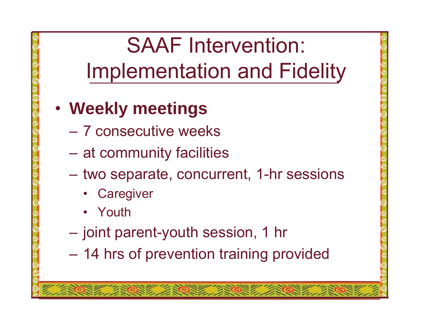#### SAAF Intervention: Implementation and Fidelity

- • **Weekly meetings**
	- 7 consecutive weeks
	- at community facilities
	- two separate, concurrent, 1-hr sessions
		- •**Caregiver**
		- Youth
	- joint parent-youth session, 1 h r
	- 14 hrs of prevention training provided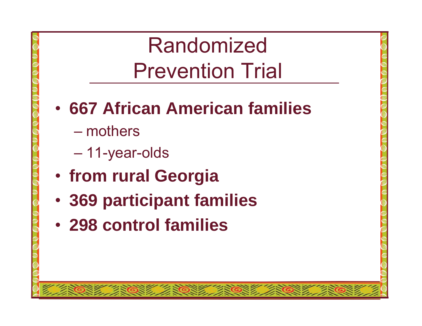#### Randomized Prevention Trial

#### • **667 African American families**

- mothers
- 11-year-olds
- •**from rural Georgia**
- •**369 participant families**
- **298 control families**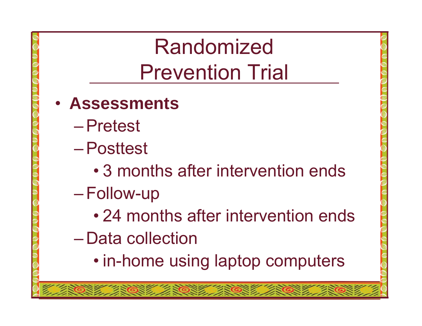#### Randomized Prevention Trial

- **Assessments**
	- Pretest
	- Posttest
		- 3 months after intervention ends
	- $\mathcal{L}_{\mathcal{A}}$  , and the set of the set of the set of the set of the set of the set of the set of the set of the set of the set of the set of the set of the set of the set of the set of the set of the set of the set of th Follow-up
		- 24 months after intervention ends
	- Data collection
		- in-home using laptop computers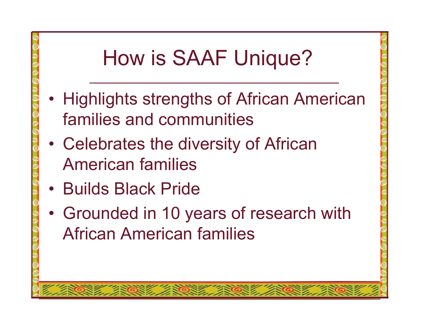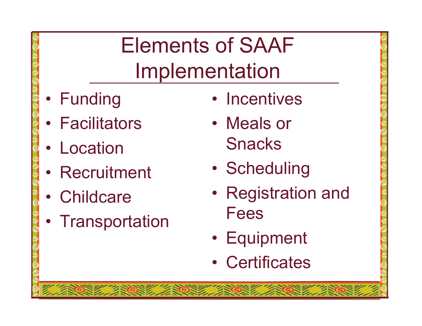## Elements of SAAF Implementation

- Funding
- Facilitators
- Location
- Recruitment
- Childcare
- Transportation
- Incentives
- Meals or Snacks
- •**Scheduling**
- Registration and Fees
- Equipment
- Certificates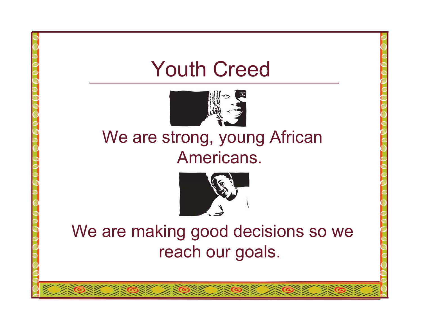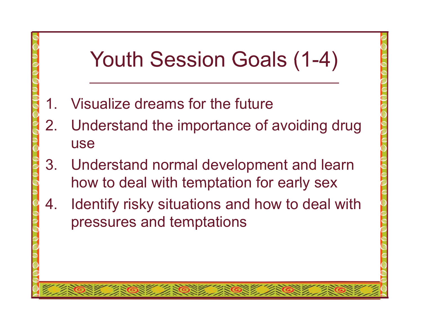#### Youth Session Goals (1-4)

- 1.. Visualize dreams for the future
- 2. Understand the importance of avoiding drug use
- 3. Understand normal development and learn how to deal with temptation for early sex
- 4. Identify risky situations and how to deal with pressures and temptations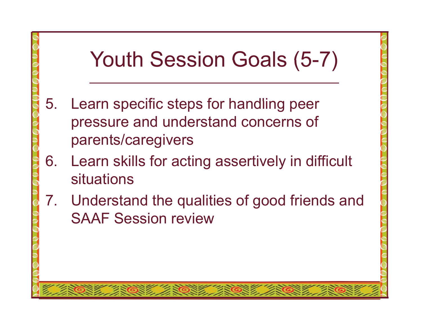# Youth Session Goals (5-7)

- 5. Learn specific steps for handling peer pressure and understand concerns of parents/caregivers
- 6. Learn skills for acting assertively in difficult situations
- 7. Understand the qualities of good friends and SAAF Session review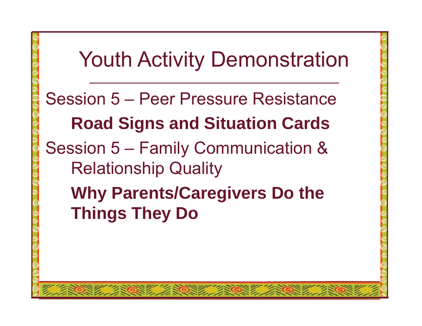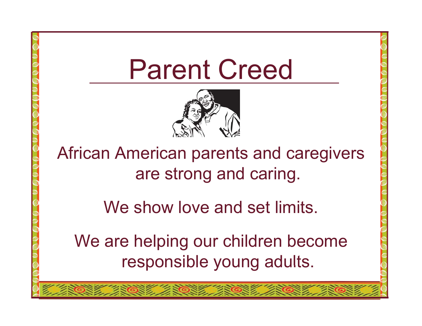



African American parents and caregivers are strong and caring.

We show love and set limits.

We are helping our children become responsible young adults.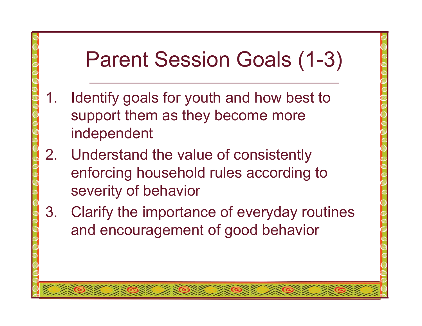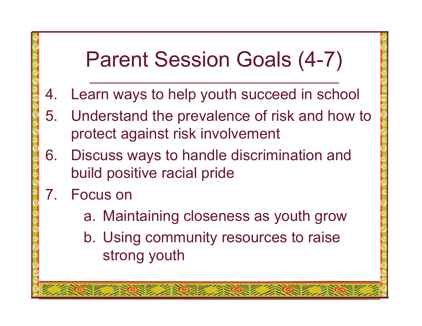### Parent Session Goals (4-7)

- 4. Learn ways to help youth succeed in school
- 5. Understand the prevalence of risk and how to protect against risk involvement
- 6. Discuss ways to handle discrimination and build positive racial pride
- 7. Focus on
	- a. Maintaining closeness as youth grow
	- b. Using community resources to raise strong youth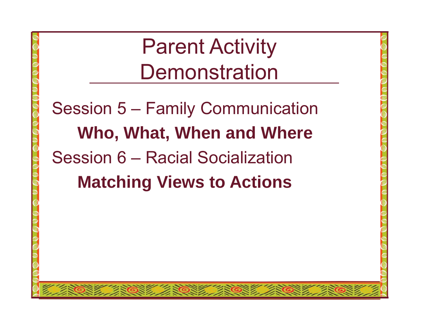Parent Activity **Demonstration** 

Session 5 – Family Communication **Who, What, When and Where**  Session 6 – Racial Socialization**Matching Views to Actions Actions**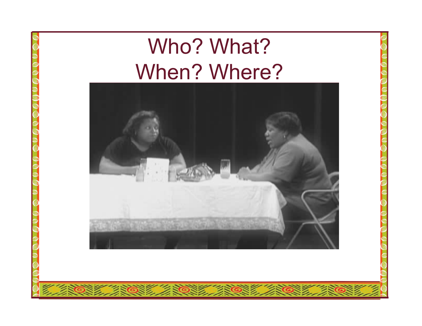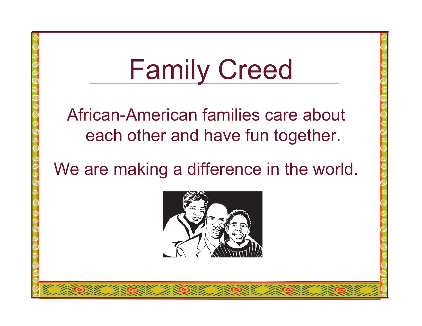# Family Creed African-American families care about each other and have fun to gether. We are making a difference in the world.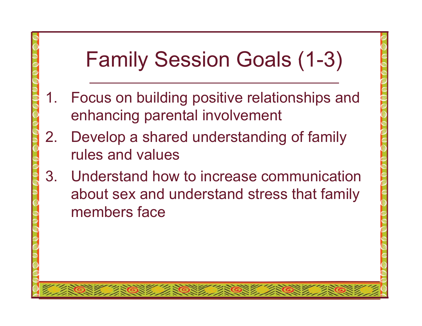## Family Session Goals (1-3)

- 1. Focus on building positive relationships and enhancing parental involvement
- 2. Develop a shared understanding of family rules and values
- 3. Understand how to increase communication about sex and understand stress that family members face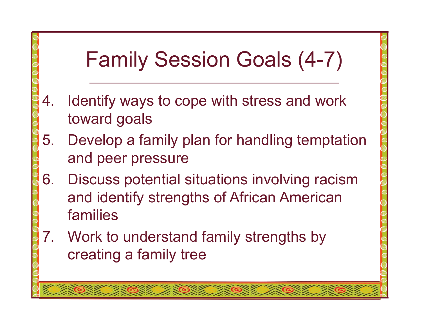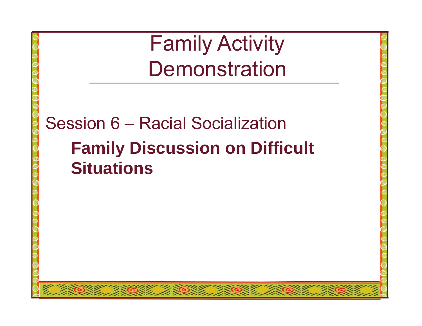Family Activity Demonstration

Session 6 – Racial Socialization**F il Di i Diffi lt Family Discussion on Difficult Situations**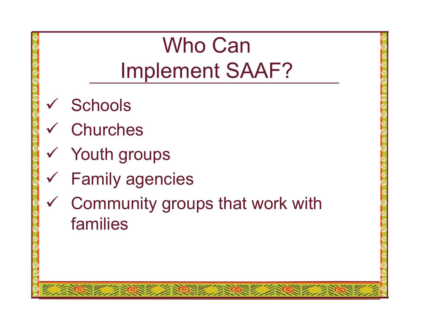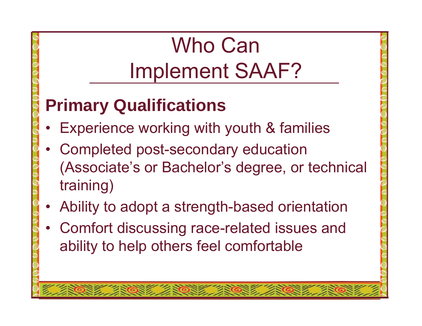## Who CanImplement SAAF?

#### **P i Q lifi ti Primary Qualifications**

- Experience working with youth & families
- $\bullet$  Completed post-secondary education (Associate's or Bachelor's degree, or technical training)
- Ability to adopt a strength-based orientation
- •Comfort discussing race-related issues and ability to help others feel comfortable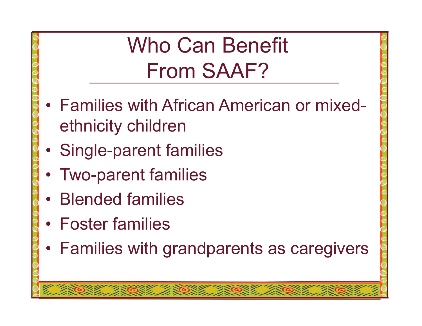## Who Can Benefit From SAAF?

- Families with African American or mixed ethnicity children
- •Single-parent families
- Two-parent families
- Blended families
- Foster families
- Families with grandparents as caregivers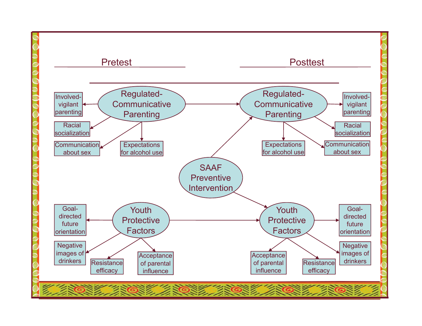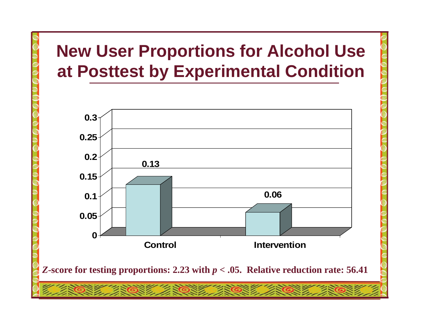#### **New User Proportions for Alcohol Use at Posttest by Experimental Condition**

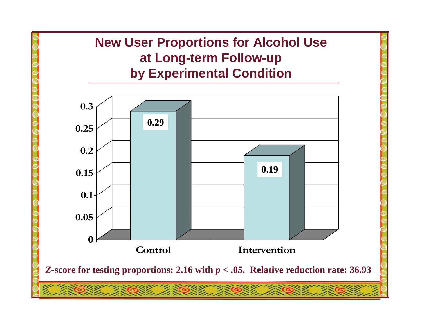#### **New User Proportions for Alcohol Use at Long -term Follow term -up by Experimental Condition**

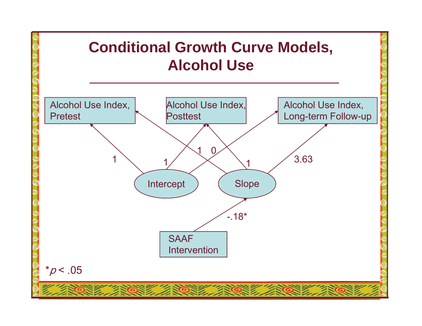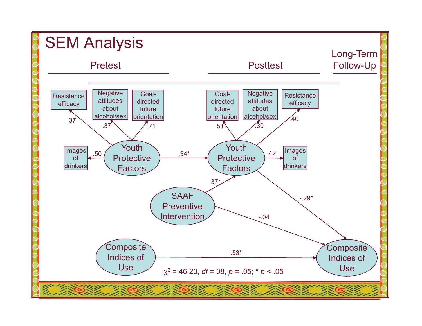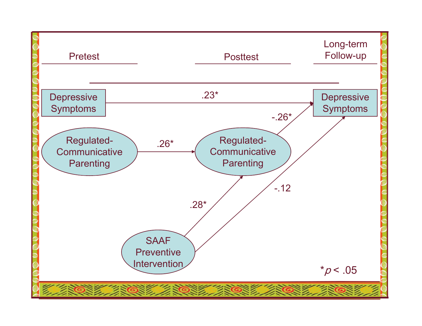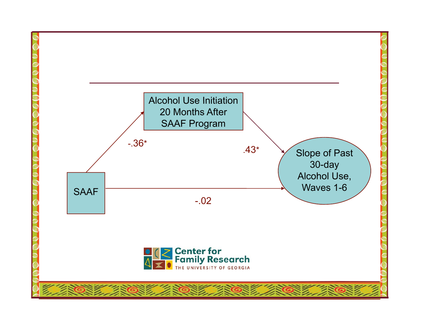